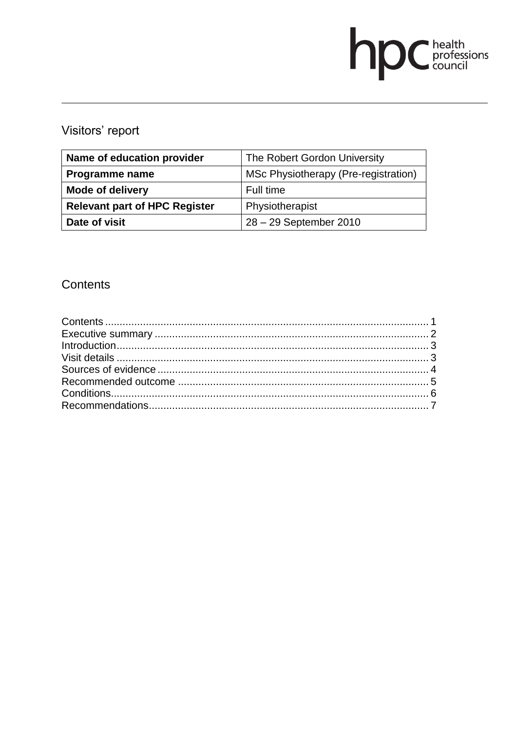# **DC** health<br>council

# Visitors' report

| Name of education provider           | The Robert Gordon University         |
|--------------------------------------|--------------------------------------|
| Programme name                       | MSc Physiotherapy (Pre-registration) |
| <b>Mode of delivery</b>              | Full time                            |
| <b>Relevant part of HPC Register</b> | Physiotherapist                      |
| Date of visit                        | 28 - 29 September 2010               |

# Contents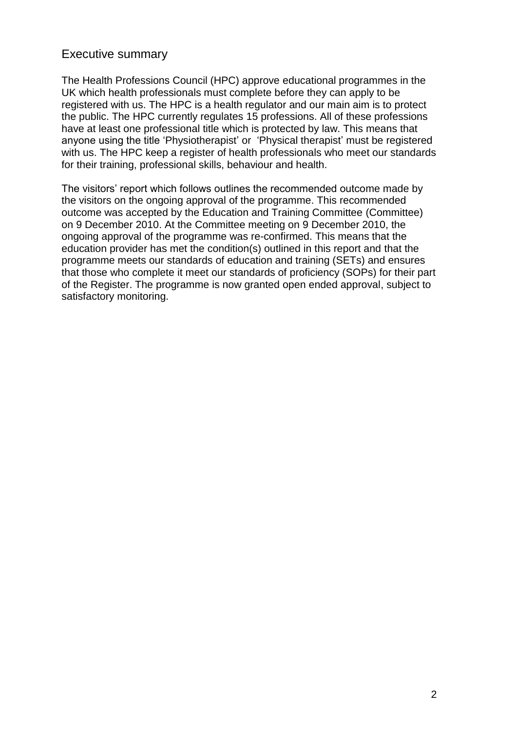#### Executive summary

The Health Professions Council (HPC) approve educational programmes in the UK which health professionals must complete before they can apply to be registered with us. The HPC is a health regulator and our main aim is to protect the public. The HPC currently regulates 15 professions. All of these professions have at least one professional title which is protected by law. This means that anyone using the title 'Physiotherapist' or 'Physical therapist' must be registered with us. The HPC keep a register of health professionals who meet our standards for their training, professional skills, behaviour and health.

The visitors' report which follows outlines the recommended outcome made by the visitors on the ongoing approval of the programme. This recommended outcome was accepted by the Education and Training Committee (Committee) on 9 December 2010. At the Committee meeting on 9 December 2010, the ongoing approval of the programme was re-confirmed. This means that the education provider has met the condition(s) outlined in this report and that the programme meets our standards of education and training (SETs) and ensures that those who complete it meet our standards of proficiency (SOPs) for their part of the Register. The programme is now granted open ended approval, subject to satisfactory monitoring.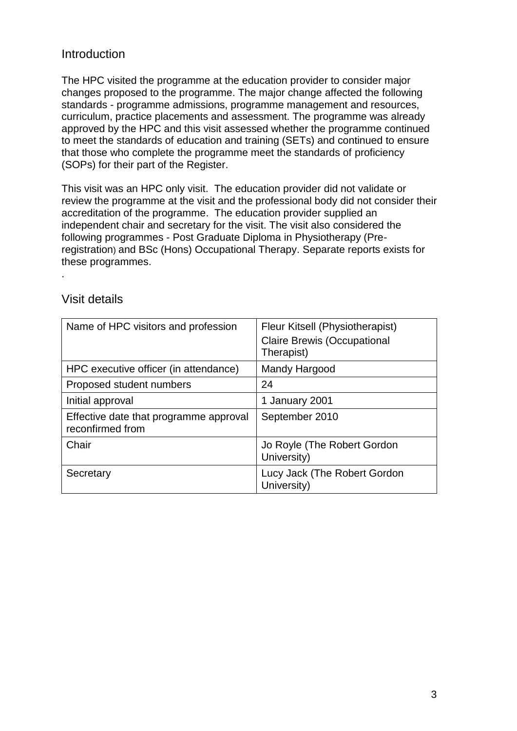## Introduction

The HPC visited the programme at the education provider to consider major changes proposed to the programme. The major change affected the following standards - programme admissions, programme management and resources, curriculum, practice placements and assessment. The programme was already approved by the HPC and this visit assessed whether the programme continued to meet the standards of education and training (SETs) and continued to ensure that those who complete the programme meet the standards of proficiency (SOPs) for their part of the Register.

This visit was an HPC only visit. The education provider did not validate or review the programme at the visit and the professional body did not consider their accreditation of the programme. The education provider supplied an independent chair and secretary for the visit. The visit also considered the following programmes - Post Graduate Diploma in Physiotherapy (Preregistration) and BSc (Hons) Occupational Therapy. Separate reports exists for these programmes.

#### Visit details

.

| Name of HPC visitors and profession                        | Fleur Kitsell (Physiotherapist)<br><b>Claire Brewis (Occupational</b><br>Therapist) |
|------------------------------------------------------------|-------------------------------------------------------------------------------------|
| HPC executive officer (in attendance)                      | Mandy Hargood                                                                       |
| Proposed student numbers                                   | 24                                                                                  |
| Initial approval                                           | 1 January 2001                                                                      |
| Effective date that programme approval<br>reconfirmed from | September 2010                                                                      |
| Chair                                                      | Jo Royle (The Robert Gordon<br>University)                                          |
| Secretary                                                  | Lucy Jack (The Robert Gordon<br>University)                                         |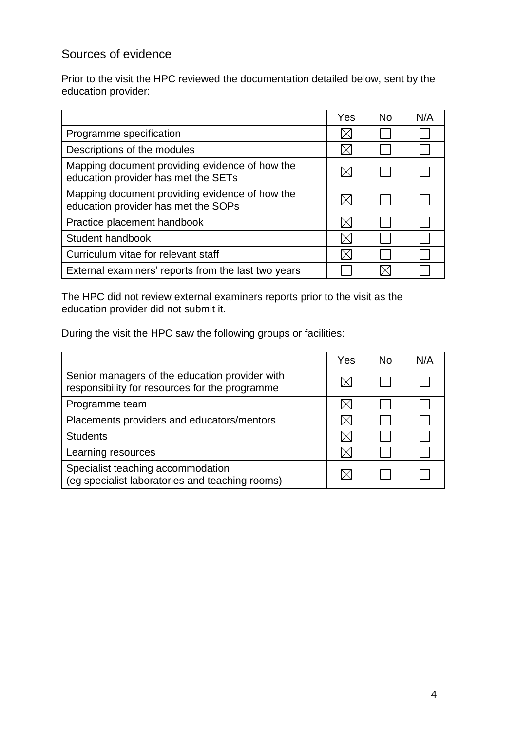# Sources of evidence

Prior to the visit the HPC reviewed the documentation detailed below, sent by the education provider:

|                                                                                       | Yes | No. | N/A |
|---------------------------------------------------------------------------------------|-----|-----|-----|
| Programme specification                                                               |     |     |     |
| Descriptions of the modules                                                           |     |     |     |
| Mapping document providing evidence of how the<br>education provider has met the SETs |     |     |     |
| Mapping document providing evidence of how the<br>education provider has met the SOPs |     |     |     |
| Practice placement handbook                                                           |     |     |     |
| Student handbook                                                                      |     |     |     |
| Curriculum vitae for relevant staff                                                   |     |     |     |
| External examiners' reports from the last two years                                   |     |     |     |

The HPC did not review external examiners reports prior to the visit as the education provider did not submit it.

During the visit the HPC saw the following groups or facilities:

|                                                                                                  | Yes | <b>No</b> | N/A |
|--------------------------------------------------------------------------------------------------|-----|-----------|-----|
| Senior managers of the education provider with<br>responsibility for resources for the programme |     |           |     |
| Programme team                                                                                   |     |           |     |
| Placements providers and educators/mentors                                                       |     |           |     |
| <b>Students</b>                                                                                  |     |           |     |
| Learning resources                                                                               |     |           |     |
| Specialist teaching accommodation<br>(eg specialist laboratories and teaching rooms)             |     |           |     |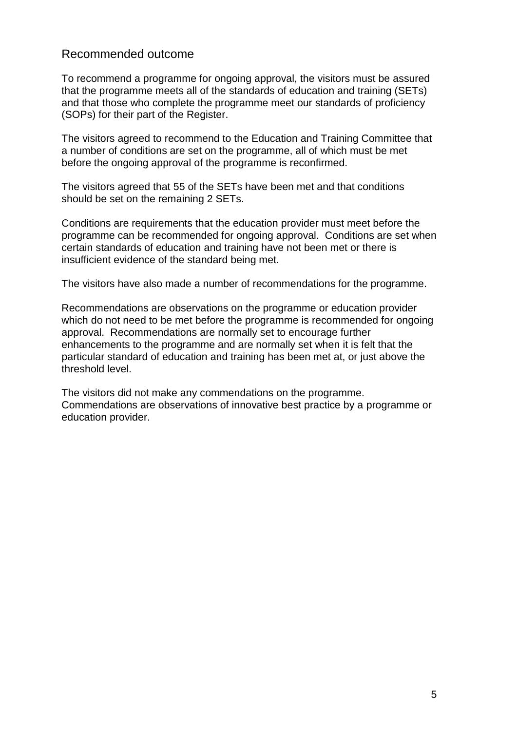#### Recommended outcome

To recommend a programme for ongoing approval, the visitors must be assured that the programme meets all of the standards of education and training (SETs) and that those who complete the programme meet our standards of proficiency (SOPs) for their part of the Register.

The visitors agreed to recommend to the Education and Training Committee that a number of conditions are set on the programme, all of which must be met before the ongoing approval of the programme is reconfirmed.

The visitors agreed that 55 of the SETs have been met and that conditions should be set on the remaining 2 SETs.

Conditions are requirements that the education provider must meet before the programme can be recommended for ongoing approval. Conditions are set when certain standards of education and training have not been met or there is insufficient evidence of the standard being met.

The visitors have also made a number of recommendations for the programme.

Recommendations are observations on the programme or education provider which do not need to be met before the programme is recommended for ongoing approval. Recommendations are normally set to encourage further enhancements to the programme and are normally set when it is felt that the particular standard of education and training has been met at, or just above the threshold level.

The visitors did not make any commendations on the programme. Commendations are observations of innovative best practice by a programme or education provider.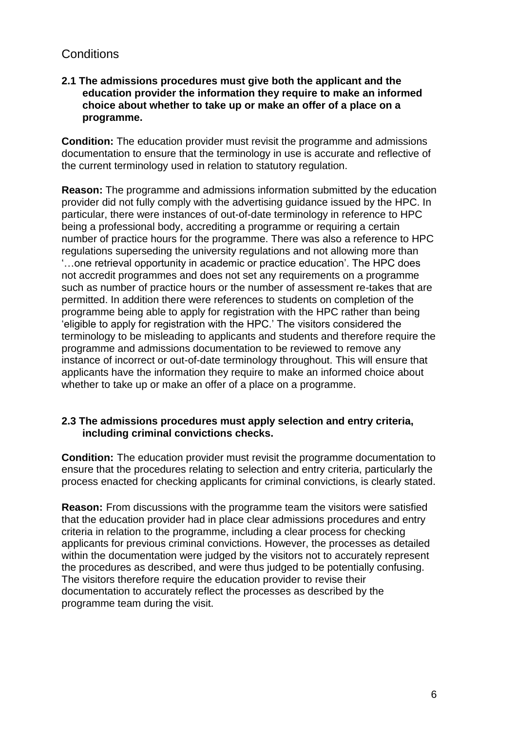## **Conditions**

#### **2.1 The admissions procedures must give both the applicant and the education provider the information they require to make an informed choice about whether to take up or make an offer of a place on a programme.**

**Condition:** The education provider must revisit the programme and admissions documentation to ensure that the terminology in use is accurate and reflective of the current terminology used in relation to statutory regulation.

**Reason:** The programme and admissions information submitted by the education provider did not fully comply with the advertising guidance issued by the HPC. In particular, there were instances of out-of-date terminology in reference to HPC being a professional body, accrediting a programme or requiring a certain number of practice hours for the programme. There was also a reference to HPC regulations superseding the university regulations and not allowing more than '…one retrieval opportunity in academic or practice education'. The HPC does not accredit programmes and does not set any requirements on a programme such as number of practice hours or the number of assessment re-takes that are permitted. In addition there were references to students on completion of the programme being able to apply for registration with the HPC rather than being 'eligible to apply for registration with the HPC.' The visitors considered the terminology to be misleading to applicants and students and therefore require the programme and admissions documentation to be reviewed to remove any instance of incorrect or out-of-date terminology throughout. This will ensure that applicants have the information they require to make an informed choice about whether to take up or make an offer of a place on a programme.

#### **2.3 The admissions procedures must apply selection and entry criteria, including criminal convictions checks.**

**Condition:** The education provider must revisit the programme documentation to ensure that the procedures relating to selection and entry criteria, particularly the process enacted for checking applicants for criminal convictions, is clearly stated.

**Reason:** From discussions with the programme team the visitors were satisfied that the education provider had in place clear admissions procedures and entry criteria in relation to the programme, including a clear process for checking applicants for previous criminal convictions. However, the processes as detailed within the documentation were judged by the visitors not to accurately represent the procedures as described, and were thus judged to be potentially confusing. The visitors therefore require the education provider to revise their documentation to accurately reflect the processes as described by the programme team during the visit.